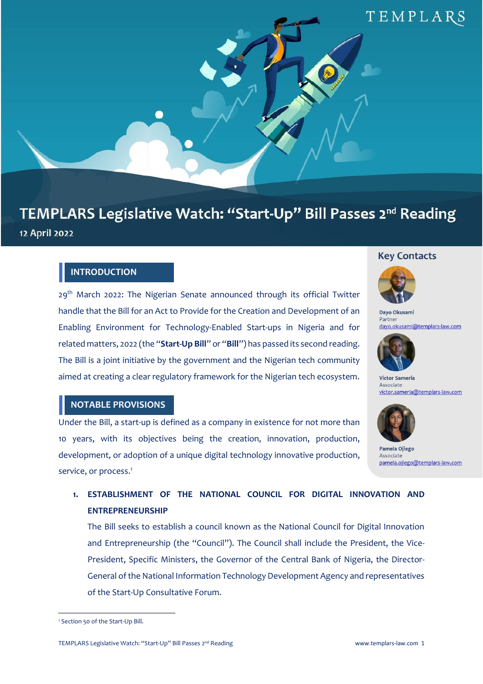

# TEMPLARS Legislative Watch: "Start-Up" Bill Passes 2nd Reading 12 April 2022

## **INTRODUCTION**

29<sup>th</sup> March 2022: The Nigerian Senate announced through its official Twitter handle that the Bill for an Act to Provide for the Creation and Development of an Enabling Environment for Technology-Enabled Start-ups in Nigeria and for related matters, 2022 (the "**Start-Up Bill**" or "**Bill**") has passed its second reading. The Bill is a joint initiative by the government and the Nigerian tech community aimed at creating a clear regulatory framework for the Nigerian tech ecosystem.

### **Key Contacts**



Dayo Okusami Partner dayo.okusami@templars-law.com



**Victor Sameria** Associate victor.sameria@templars-law.com

## **NOTABLE PROVISIONS**

Under the Bill, a start-up is defined as a company in existence for not more than 10 years, with its objectives being the creation, innovation, production, development, or adoption of a unique digital technology innovative production, service, or process.<sup>1</sup>



Pamela Ojiego Associate pamela.ojiego@templars-law.com

# **1. ESTABLISHMENT OF THE NATIONAL COUNCIL FOR DIGITAL INNOVATION AND ENTREPRENEURSHIP**

The Bill seeks to establish a council known as the National Council for Digital Innovation and Entrepreneurship (the "Council"). The Council shall include the President, the Vice-President, Specific Ministers, the Governor of the Central Bank of Nigeria, the Director-General ofthe National Information Technology Development Agency and representatives of the Start-Up Consultative Forum.

<sup>1</sup> Section 50 of the Start-Up Bill.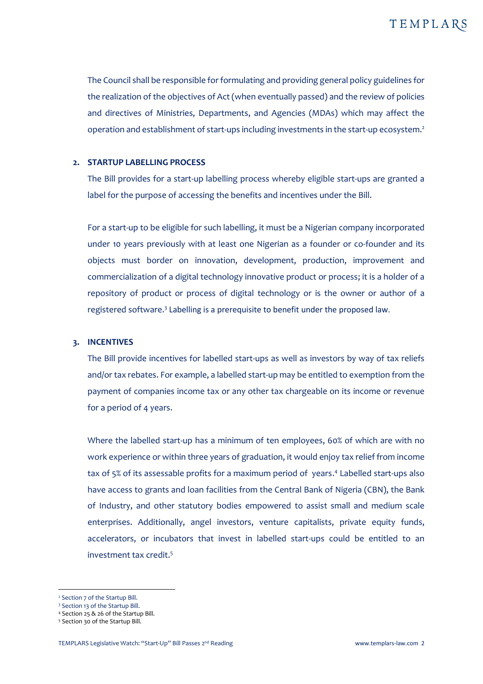The Council shall be responsible for formulating and providing general policy guidelines for the realization of the objectives of Act (when eventually passed) and the review of policies and directives of Ministries, Departments, and Agencies (MDAs) which may affect the operation and establishment of start-ups including investments in the start-up ecosystem. 2

#### **2. STARTUP LABELLING PROCESS**

The Bill provides for a start-up labelling process whereby eligible start-ups are granted a label for the purpose of accessing the benefits and incentives under the Bill.

For a start-up to be eligible for such labelling, it must be a Nigerian company incorporated under 10 years previously with at least one Nigerian as a founder or co-founder and its objects must border on innovation, development, production, improvement and commercialization of a digital technology innovative product or process; it is a holder of a repository of product or process of digital technology or is the owner or author of a registered software.<sup>3</sup> Labelling is a prerequisite to benefit under the proposed law.

#### **3. INCENTIVES**

The Bill provide incentives for labelled start-ups as well as investors by way of tax reliefs and/or tax rebates. For example, a labelled start-up may be entitled to exemption from the payment of companies income tax or any other tax chargeable on its income or revenue for a period of 4 years.

Where the labelled start-up has a minimum of ten employees, 60% of which are with no work experience or within three years of graduation, it would enjoy tax relief from income tax of 5% of its assessable profits for a maximum period of years. <sup>4</sup> Labelled start-ups also have access to grants and loan facilities from the Central Bank of Nigeria (CBN), the Bank of Industry, and other statutory bodies empowered to assist small and medium scale enterprises. Additionally, angel investors, venture capitalists, private equity funds, accelerators, or incubators that invest in labelled start-ups could be entitled to an investment tax credit.<sup>5</sup>

<sup>2</sup> Section 7 of the Startup Bill.

<sup>3</sup> Section 13 of the Startup Bill.

<sup>4</sup> Section 25 & 26 of the Startup Bill.

<sup>5</sup> Section 30 of the Startup Bill.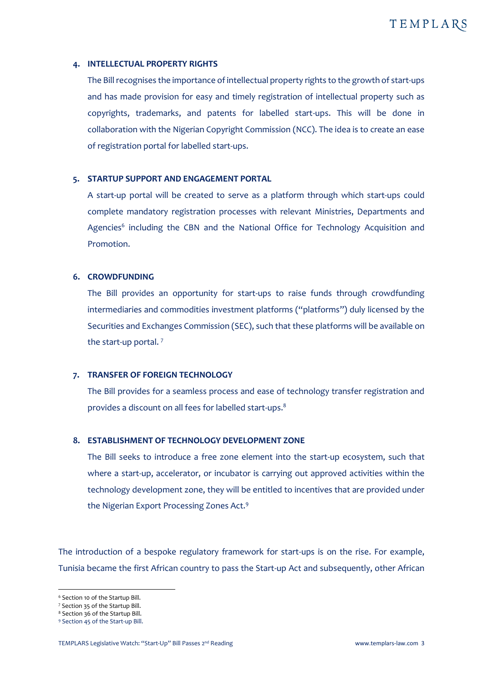#### **4. INTELLECTUAL PROPERTY RIGHTS**

The Billrecognises the importance of intellectual property rights to the growth of start-ups and has made provision for easy and timely registration of intellectual property such as copyrights, trademarks, and patents for labelled start-ups. This will be done in collaboration with the Nigerian Copyright Commission (NCC). The idea is to create an ease of registration portal for labelled start-ups.

#### **5. STARTUP SUPPORT AND ENGAGEMENT PORTAL**

A start-up portal will be created to serve as a platform through which start-ups could complete mandatory registration processes with relevant Ministries, Departments and Agencies<sup>6</sup> including the CBN and the National Office for Technology Acquisition and Promotion.

#### **6. CROWDFUNDING**

The Bill provides an opportunity for start-ups to raise funds through crowdfunding intermediaries and commodities investment platforms ("platforms") duly licensed by the Securities and Exchanges Commission (SEC), such that these platforms will be available on the start-up portal. <sup>7</sup>

#### **7. TRANSFER OF FOREIGN TECHNOLOGY**

The Bill provides for a seamless process and ease of technology transfer registration and provides a discount on all fees for labelled start-ups.<sup>8</sup>

#### **8. ESTABLISHMENT OF TECHNOLOGY DEVELOPMENT ZONE**

The Bill seeks to introduce a free zone element into the start-up ecosystem, such that where a start-up, accelerator, or incubator is carrying out approved activities within the technology development zone, they will be entitled to incentives that are provided under the Nigerian Export Processing Zones Act.<sup>9</sup>

The introduction of a bespoke regulatory framework for start-ups is on the rise. For example, Tunisia became the first African country to pass the Start-up Act and subsequently, other African

<sup>6</sup> Section 10 of the Startup Bill.

<sup>7</sup> Section 35 of the Startup Bill.

<sup>8</sup> Section 36 of the Startup Bill.

<sup>9</sup> Section 45 of the Start-up Bill.